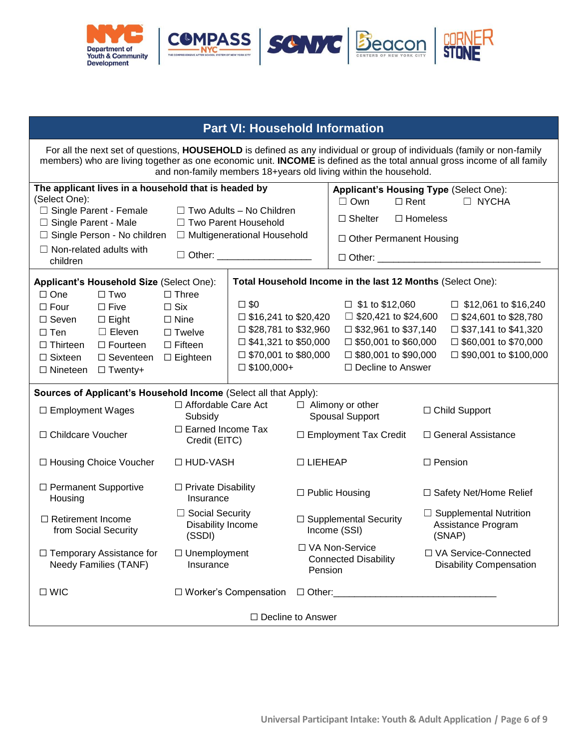| <b>Office Use Only</b>        |  |  |
|-------------------------------|--|--|
| Date Application Received:    |  |  |
| <b>Enrollment Start Date:</b> |  |  |
| Intake Specialist/Staff:      |  |  |
| Additional Information:       |  |  |



# **DYCD Universal Participant Intake:** *Youth & Adult Application*

**Welcome to the Department of Youth and Community Development (DYCD)!** DYCD is a New York City agency that funds programs for youth and families. These programs are operated by Community Based Organizations (CBOs).This form will allow you or your child to apply to a DYCD Comprehensive Afterschool System (COMPASS), Beacon, or Cornerstone youth or adult program. Please complete this form fully and return to the CBO that operates the program. One application will be accepted per person per site. **Submission of an application does not guarantee enrollment in the program**. Further paperwork and information may be required to determine program eligibility. If accepted, program will be **at no cost** to the participant. The following application items are collected for informational and program planning purposes only: *Income, Gender, Race, Ethnicity, Language, Population Type, Household Information and Health Insurance Status.* Responses to these questions will not impact your eligibility to receive services and will not be shared outside of DYCD without the applicant's permission.

## **Part I: Applicant Information**

**For the purposes of this application,** *applicant* **refers to the person applying to receive services. Select one:**  $\Box$  I am completing this application for myself  $\Box$  I am a parent or guardian completing this application for my child

 $\Box$  I am a relative/non-relative, completing this application on behalf of the applicant

**Applicant's First Name: Applicant's Last Name: MI:**

| Applicant's Date of Birth (MM/DD/YEAR):                             |                                                   |                                               |  |
|---------------------------------------------------------------------|---------------------------------------------------|-----------------------------------------------|--|
| <b>Applicant's Gender (Select One):</b>                             | Applicant's Race (Select all that Apply):         | <b>Applicant's Ethnicity</b><br>(Select One): |  |
| $\Box$ Male                                                         | $\Box$ American Indian and Alaskan Native         |                                               |  |
| $\Box$ Female                                                       | $\Box$ Asian                                      | $\Box$ Hispanic or Latino(a)                  |  |
| $\Box$ Gender Nonconforming                                         | $\Box$ Black or African- American                 | $\Box$ Not Hispanic or Latino(a)              |  |
|                                                                     | $\Box$ Native Hawaiian and Other Pacific Islander |                                               |  |
|                                                                     | $\Box$ White or Caucasian                         |                                               |  |
|                                                                     | $\Box$ Other                                      |                                               |  |
| Applicant's Primary Address (Number and Street):                    | Apt. Number:                                      |                                               |  |
| City:                                                               | Zip Code:                                         |                                               |  |
| $\Box$ Applicant lives in a NYCHA Development (please provide name) |                                                   |                                               |  |
|                                                                     |                                                   |                                               |  |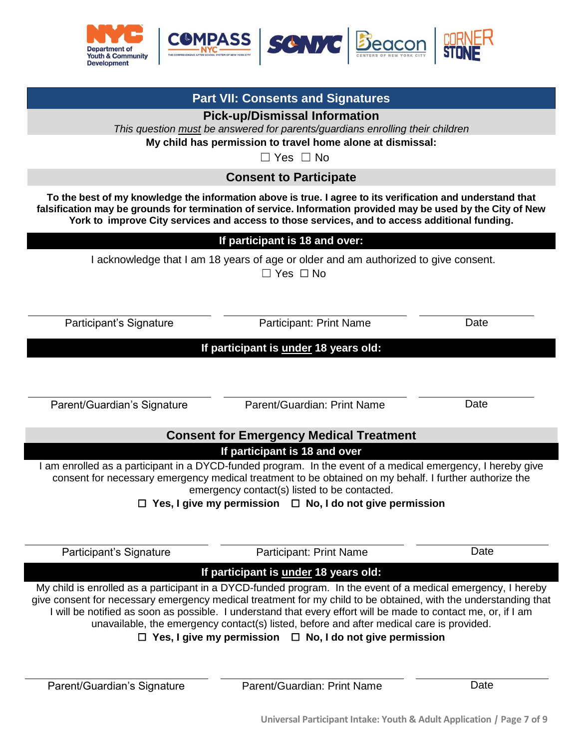

|                |                                                                                                                | <b>Part II: Contact Information</b>                                                    |        |            |
|----------------|----------------------------------------------------------------------------------------------------------------|----------------------------------------------------------------------------------------|--------|------------|
|                |                                                                                                                | <b>Applicant's Contact Information</b>                                                 |        |            |
|                | For youth without contact information, skip to the next section to provide parent/guardian contact information |                                                                                        |        |            |
|                | Write down phone numbers for the applicant and circle the preferred method of contact:                         |                                                                                        |        |            |
|                |                                                                                                                |                                                                                        |        |            |
|                |                                                                                                                |                                                                                        |        |            |
|                |                                                                                                                | <b>Parent/Guardian Information</b><br>This section is required for Applicants under 18 |        |            |
|                |                                                                                                                |                                                                                        |        |            |
|                | Write down all phone numbers and circle the best number to call in case of an emergency:                       |                                                                                        |        |            |
|                |                                                                                                                |                                                                                        |        |            |
|                |                                                                                                                |                                                                                        |        | □ No Email |
| Address:       |                                                                                                                | City:                                                                                  | State: | Zip Code:  |
|                | $\Box$ Same as Participant                                                                                     |                                                                                        |        |            |
|                |                                                                                                                | <b>Emergency Contact Information</b>                                                   |        |            |
|                |                                                                                                                | At least one emergency contact must be identified                                      |        |            |
|                | <b>Emergency Contact #1 Name:</b>                                                                              | <b>Relationship to Participant:</b>                                                    |        |            |
|                |                                                                                                                | $\square$ Emergency contact is parent/guardian of participant                          |        |            |
|                | Write down all phone numbers and circle the best number to call in case of an emergency:                       |                                                                                        |        |            |
|                |                                                                                                                |                                                                                        |        |            |
|                | $\square$ Work $\square$ Email $\square$ Email $\square$ No Email $\square$ No Email                           |                                                                                        |        |            |
|                | Address:                                                                                                       | City:                                                                                  | State: | Zip Code:  |
|                | □ Same as Participant                                                                                          |                                                                                        |        |            |
|                | <b>Emergency Contact #2 Name:</b>                                                                              | <b>Relationship to Participant:</b>                                                    |        |            |
|                |                                                                                                                | $\square$ Emergency contact is parent/guardian of participant                          |        |            |
|                | Write down all phone numbers and circle the best number to call in case of an emergency:                       |                                                                                        |        |            |
| $\overline{2}$ |                                                                                                                |                                                                                        |        |            |
|                |                                                                                                                |                                                                                        |        | □ No Email |
|                | Address:                                                                                                       | City:                                                                                  | State: | Zip Code:  |
|                | $\Box$ Same as Participant                                                                                     |                                                                                        |        |            |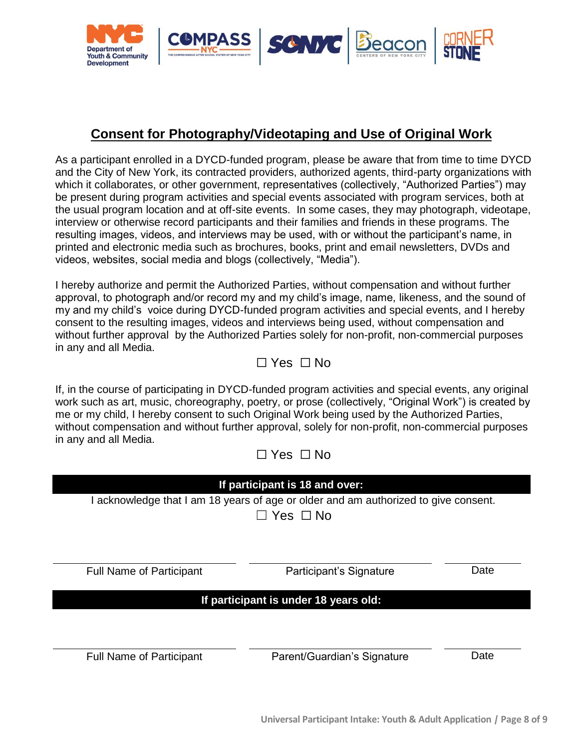

| This section is for parents/guardians enrolling their children                                      |                                                                     |                      |  |  |
|-----------------------------------------------------------------------------------------------------|---------------------------------------------------------------------|----------------------|--|--|
| Emergency contacts listed in Section II are authorized to pick up the child unless otherwise noted. |                                                                     |                      |  |  |
|                                                                                                     | The following additional people are authorized to pick up my child: |                      |  |  |
| Name:                                                                                               | Phone #:                                                            | <b>Relationship:</b> |  |  |
| Name:                                                                                               | Phone #:                                                            | <b>Relationship:</b> |  |  |
| Name:<br>Phone #:<br><b>Relationship:</b>                                                           |                                                                     |                      |  |  |
| The following people MAY NOT pick up my child:                                                      |                                                                     |                      |  |  |
| Name:                                                                                               | Name:                                                               | Name:                |  |  |

| <b>Part III: Applicant's Education/Work Status</b>                                                                                                                                                                                                                                                                                                                                                                                                                                                                                                                                                                                                                                                                                                                                                                                                                                                                                                                                                  |                                                                             |                                            |           |
|-----------------------------------------------------------------------------------------------------------------------------------------------------------------------------------------------------------------------------------------------------------------------------------------------------------------------------------------------------------------------------------------------------------------------------------------------------------------------------------------------------------------------------------------------------------------------------------------------------------------------------------------------------------------------------------------------------------------------------------------------------------------------------------------------------------------------------------------------------------------------------------------------------------------------------------------------------------------------------------------------------|-----------------------------------------------------------------------------|--------------------------------------------|-----------|
|                                                                                                                                                                                                                                                                                                                                                                                                                                                                                                                                                                                                                                                                                                                                                                                                                                                                                                                                                                                                     | <b>Applicant's Education Status (Select One):</b><br>□ Full-Time Student*** | □ Part-Time Student*** □ Not in School**** |           |
| ***If applicant is a Part-Time Student or Full-Time Student: Select applicant's current grade (Select One):<br>****If applicant is Not in School: Select the last grade completed by the applicant (Select One):<br>Elementary School:<br>$\Box$ Pre-K $\Box$ K $\Box$ 1 <sup>st</sup> $\Box$ 2 <sup>nd</sup> $\Box$ 3 <sup>rd</sup> $\Box$ 4 <sup>th</sup> $\Box$ 5 <sup>th</sup><br><b>Middle School:</b><br>$\Box$ 6 <sup>th</sup> $\Box$ 7 <sup>th</sup> $\Box$ 8 <sup>th</sup><br><b>High School:</b><br>$\Box$ 9 <sup>th</sup> $\Box$ 10 <sup>th</sup> $\Box$ 11 <sup>th</sup> $\Box$ 12 <sup>th</sup><br><b>Community College:</b> $\Box$ 1 <sup>st</sup> year $\Box$ 2 <sup>nd</sup> Year $\Box$ 3 <sup>rd</sup> year $\Box$ 4 <sup>th</sup> Year $\Box$ 5 <sup>th</sup> Year $\Box$ 6 <sup>th</sup> Year+<br><b>College/University:</b><br>□ Freshman □ Sophomore □ Junior □ Senior<br>$\Box$ High School Equivalence (HSE) $\Box$ Vocational/Trade School $\Box$ Foreign Degree<br>Other: |                                                                             |                                            |           |
| <b>Applicant's Current Work Status (Select One):</b><br>$\Box$ Employed Full-Time<br>$\Box$ Employed Part-Time<br>$\Box$ Retired<br>□ Unemployed (Short-Term, 6<br>$\Box$ Unemployed (Long-term, more than 6<br>□ Unemployed (Not in labor<br>months or less)<br>months)<br>force)<br>□ Migrant Seasonal Farm Worker<br>$\Box$ Not applicable (applicant is under 14 years of age)<br><b>Required for Full-Time Students</b>                                                                                                                                                                                                                                                                                                                                                                                                                                                                                                                                                                        |                                                                             |                                            |           |
| <b>Student ID/ OSIS:</b><br><b>School Type:</b><br><b>School Name:</b>                                                                                                                                                                                                                                                                                                                                                                                                                                                                                                                                                                                                                                                                                                                                                                                                                                                                                                                              |                                                                             |                                            |           |
| <b>School Address:</b>                                                                                                                                                                                                                                                                                                                                                                                                                                                                                                                                                                                                                                                                                                                                                                                                                                                                                                                                                                              |                                                                             | City:                                      | Zip Code: |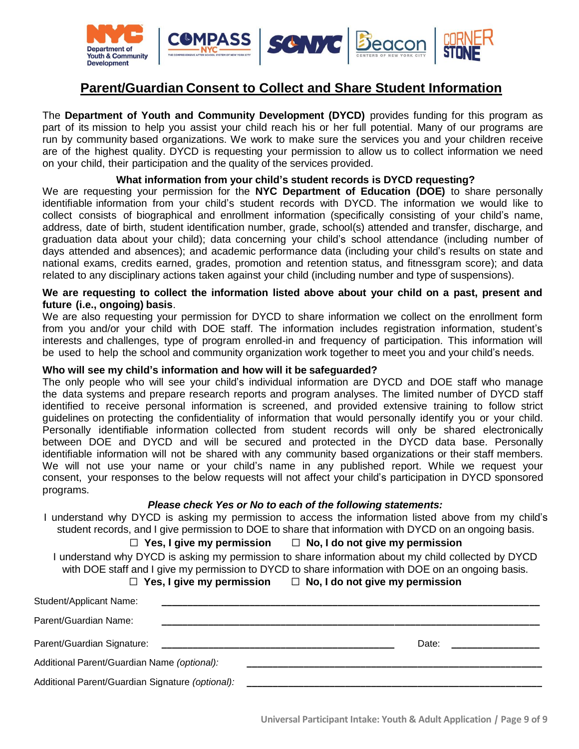

# **Part IV: Health Information**

## **Applicant's Health Information**

*Please answer the questions below and provide additional details in the space provided. Many needs or health challenges can be accommodated and may not limit enrollment in the program.*

**Does the applicant have any allergies? (food, medication, etc.)**

☐ No ☐ Yes \_\_\_\_\_\_\_\_\_\_\_\_\_\_\_\_\_\_\_\_\_\_\_\_\_\_\_\_\_\_\_\_\_\_\_\_\_\_\_\_\_\_\_\_\_\_\_\_\_\_\_\_\_\_\_\_\_\_\_\_\_\_\_\_\_\_\_\_\_\_\_\_\_\_\_\_\_\_\_\_\_\_\_\_

**Does the applicant have asthma?** 

☐ No ☐ Yes

**Does the applicant have special health care needs?**

☐ No ☐ Yes \_\_\_\_\_\_\_\_\_\_\_\_\_\_\_\_\_\_\_\_\_\_\_\_\_\_\_\_\_\_\_\_\_\_\_\_\_\_\_\_\_\_\_\_\_\_\_\_\_\_\_\_\_\_\_\_\_\_\_\_\_\_\_\_\_\_\_\_\_\_\_\_\_\_\_\_\_\_\_\_\_\_\_\_

**Does the applicant take medication for any condition or illness?**

 $\Box$  No  $\Box$  Yes  $\_\_\_\_\_\_\_\_\_\_\_$ 

**Are there activities the applicant cannot participate in?**

☐ No ☐ Yes \_\_\_\_\_\_\_\_\_\_\_\_\_\_\_\_\_\_\_\_\_\_\_\_\_\_\_\_\_\_\_\_\_\_\_\_\_\_\_\_\_\_\_\_\_\_\_\_\_\_\_\_\_\_\_\_\_\_\_\_\_\_\_\_\_\_\_\_\_\_\_\_\_\_\_\_\_\_\_\_\_\_\_\_

**Please provide any additional health information details:**

### ☐ **N/A**

**Please list any accommodation(s) you are requesting for yourself/the applicant:**

#### ☐ **N/A**

| <b>Applicant's Health Insurance Status</b>                                                                                                                          |                             |                                                                |                                                                                                                  |  |
|---------------------------------------------------------------------------------------------------------------------------------------------------------------------|-----------------------------|----------------------------------------------------------------|------------------------------------------------------------------------------------------------------------------|--|
| Does the applicant have health<br>insurance? (Select One):                                                                                                          | (Check all that Apply):     | If yes, what kind of health insurance does the applicant have? |                                                                                                                  |  |
| $\Box$ Yes $\Box$ No                                                                                                                                                | $\Box$ Medicaid             | Medicare                                                       | $\Box$ State Children's Health<br>Insurance Program                                                              |  |
| Decline to Answer                                                                                                                                                   | $\Box$ Employment-Based     | $\Box$ Direct-Purchase                                         | $\Box$ State Children's Health<br>Insurance for Adults                                                           |  |
|                                                                                                                                                                     | $\Box$ Military Health Care | $\Box$ Decline to Answer                                       |                                                                                                                  |  |
| If you do not have health insurance, do you want to be<br>contacted by someone else with information about<br>signing up for public health insurance? (Select One): |                             | of contact? (Select One):                                      | If you would like to be contacted about signing up for<br>public health insurance, what is your preferred method |  |
| $\Box$ Yes $\Box$ No $\Box$ Decline to Answer                                                                                                                       |                             |                                                                | $\Box$ Email $\Box$ Phone $\Box$ US Mail $\Box$ Via provider<br>Decline to Answer                                |  |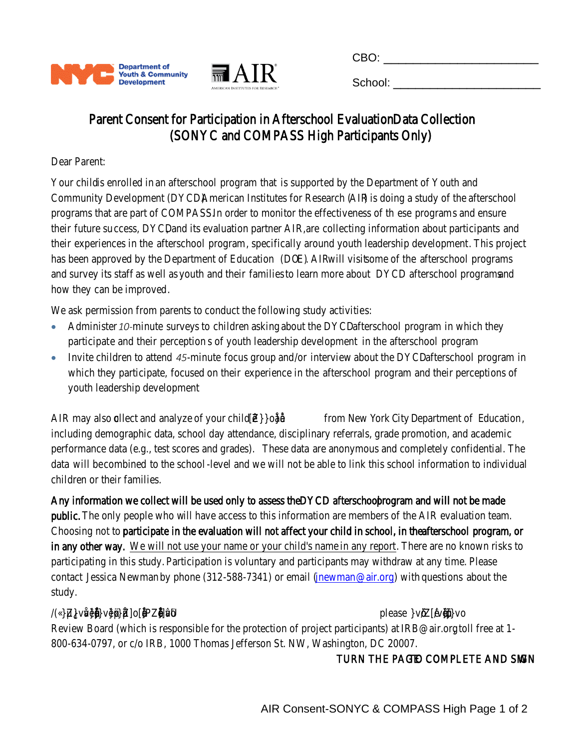

| <b>Part V: Additional Applicant Information</b>                                                                                                                                                                                                                                                                                                                                                                                 |                                                                                                                                                                                        |                                   |                                                                                                                                                                             |                                                                                                                                                                                                                                                                                                                                                                                   |                                                                                                                                                                                                                                                                                                                                                                                                                                                                                                                     |                                                                                                                                                                                                                  |
|---------------------------------------------------------------------------------------------------------------------------------------------------------------------------------------------------------------------------------------------------------------------------------------------------------------------------------------------------------------------------------------------------------------------------------|----------------------------------------------------------------------------------------------------------------------------------------------------------------------------------------|-----------------------------------|-----------------------------------------------------------------------------------------------------------------------------------------------------------------------------|-----------------------------------------------------------------------------------------------------------------------------------------------------------------------------------------------------------------------------------------------------------------------------------------------------------------------------------------------------------------------------------|---------------------------------------------------------------------------------------------------------------------------------------------------------------------------------------------------------------------------------------------------------------------------------------------------------------------------------------------------------------------------------------------------------------------------------------------------------------------------------------------------------------------|------------------------------------------------------------------------------------------------------------------------------------------------------------------------------------------------------------------|
| How well does the applicant speak English?<br>(Select One):<br>□ Fluent/Very well<br>$\square$ Well<br>$\Box$ Not well<br>$\Box$ Not well at all                                                                                                                                                                                                                                                                                |                                                                                                                                                                                        |                                   |                                                                                                                                                                             | $\Box$ English<br>$\Box$ Bengali<br>$\Box$ Fulani<br>□ Haitian Creole<br>$\Box$ Hungarian<br>$\Box$ Korean<br>$\Box$ Punjabi<br>$\Box$ Portuguese<br>$\Box$ Spanish<br>$\Box$ Urdu<br>□ Other: _______________                                                                                                                                                                    | Applicant's Primary Language (Select One):<br>$\Box$ Albanian<br>□ Chinese*<br>$\Box$ German<br>$\Box$ Hebrew<br>$\Box$ Italian<br>□ Kru, Ibo, or Yoruba<br>$\Box$ Persian<br>$\Box$ Romanian<br>$\Box$ Tagalog<br>$\Box$ Vietnamese                                                                                                                                                                                                                                                                                | $\Box$ Arabic<br>$\Box$ French<br>$\Box$ Gujarati<br>$\Box$ Hindi<br>$\Box$ Japanese<br>$\Box$ Mande<br>$\Box$ Polish<br>$\Box$ Russian<br>$\Box$ Turkish<br>$\Box$ Yiddish<br>*including Cantonese and Mandarin |
| Other Languages Spoken by Applicant (Select all that Apply):<br>$\Box$ English<br>$\Box$ Bengali<br>$\Box$ Fulani<br>□ Haitian Creole<br>$\Box$ Hungarian<br>$\Box$ Korean<br>$\Box$ Punjabi<br>$\Box$ Portuguese<br>$\Box$ Spanish<br>$\Box$ Urdu<br>$\Box$ Other:<br>$\Box$ Not applicable (only one language spoken by applicant)                                                                                            | $\Box$ Albanian<br>$\Box$ Chinese*<br>$\Box$ German<br>$\Box$ Hebrew<br>$\Box$ Italian<br>□ Kru, Ibo, or Yoruba<br>$\Box$ Persian<br>$\Box$ Romanian<br>$\Box$ Tagalog<br>□ Vietnamese | *including Cantonese and Mandarin | $\Box$ Arabic<br>$\Box$ French<br>$\Box$ Gujarati<br>$\Box$ Hindi<br>$\Box$ Japanese<br>$\Box$ Mande<br>$\Box$ Polish<br>$\Box$ Russian<br>$\Box$ Turkish<br>$\Box$ Yiddish |                                                                                                                                                                                                                                                                                                                                                                                   | Would the applicant like to receive information/<br>be contacted about registering to vote?**<br>(Select One):<br>$\Box$ Yes $\Box$ No<br>** Applicant is eligible to vote in U.S. federal elections if:<br>1) You are a U.S. citizen;<br>2) You meet your state's residency requirements;<br>3) You are 18 years old. Some states allow 17-year-olds to<br>vote in primaries and/or register to vote if they will be 18<br>before the general election. Check your state's voter<br>registration age requirements. |                                                                                                                                                                                                                  |
| Is the applicant any of the following:<br>Parent/Legal Guardian?<br>$\Box$ Yes $\Box$ No<br>Offender/Justice Involved?<br>$\Box$ Yes $\Box$ No<br><b>Foster Care Participant?</b><br>$\Box$ Yes $\Box$ No<br>Runaway Youth?<br>$\Box$ Yes $\Box$ No<br>Veteran?<br>$\Box$ Yes $\Box$ No<br><b>Active Military Personnel?</b><br>□ Yes □ No<br>An Individual with a Disability?<br>$\Box$ Yes $\Box$ No $\Box$ Decline to answer |                                                                                                                                                                                        |                                   |                                                                                                                                                                             | If the applicant is an individual with a<br>disability, please select disability type(s)<br>(Select all that Apply):<br>$\Box$ Cognitive impairment<br>□ Hearing-related<br>$\Box$ Learning disability<br>□ Mental or Psychiatric<br>□ Physical/Chronic Health Condition<br>□ Physical/Mobility Impairment<br>□ Vision-related<br>□ Other: __________<br>$\Box$ Decline to Answer |                                                                                                                                                                                                                                                                                                                                                                                                                                                                                                                     |                                                                                                                                                                                                                  |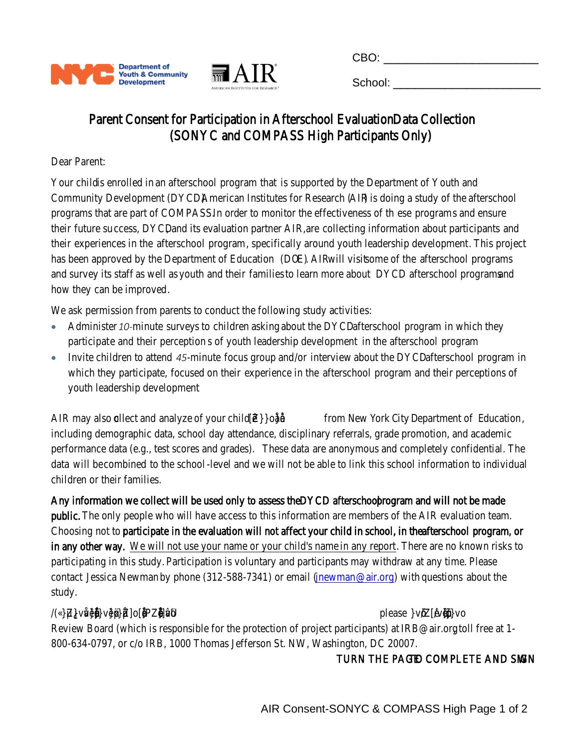

# **Part VI: Household Information**

For all the next set of questions, **HOUSEHOLD** is defined as any individual or group of individuals (family or non-family members) who are living together as one economic unit. **INCOME** is defined as the total annual gross income of all family and non-family members 18+years old living within the household.

| The applicant lives in a household that is headed by<br>(Select One):<br>□ Single Parent - Female<br>$\Box$ Two Adults - No Children<br>□ Single Parent - Male<br>□ Two Parent Household<br>□ Single Person - No children<br>□ Multigenerational Household<br>$\Box$ Non-related adults with<br>$\Box$ Other:<br>children |                                                                                    |                                                                                                                                                                   | $\Box$ Own<br>$\Box$ Rent<br>$\Box$ Shelter<br>□ Other Permanent Housing<br>□ Other: _____________________                                                      | <b>Applicant's Housing Type (Select One):</b><br>□ NYCHA<br>$\Box$ Homeless                                                                            |
|---------------------------------------------------------------------------------------------------------------------------------------------------------------------------------------------------------------------------------------------------------------------------------------------------------------------------|------------------------------------------------------------------------------------|-------------------------------------------------------------------------------------------------------------------------------------------------------------------|-----------------------------------------------------------------------------------------------------------------------------------------------------------------|--------------------------------------------------------------------------------------------------------------------------------------------------------|
| Applicant's Household Size (Select One):<br>$\Box$ One<br>$\Box$ Two                                                                                                                                                                                                                                                      | $\Box$ Three                                                                       |                                                                                                                                                                   | Total Household Income in the last 12 Months (Select One):                                                                                                      |                                                                                                                                                        |
| $\square$ Five<br>$\Box$ Four<br>$\Box$ Seven<br>$\Box$ Eight<br>$\Box$ Eleven<br>$\square$ Ten<br>$\Box$ Fourteen<br>$\Box$ Thirteen<br>$\Box$ Sixteen<br>$\Box$ Seventeen<br>$\Box$ Nineteen $\Box$ Twenty+                                                                                                             | $\Box$ Six<br>$\square$ Nine<br>$\Box$ Twelve<br>$\Box$ Fifteen<br>$\Box$ Eighteen | $\square$ \$0<br>$\Box$ \$16,241 to \$20,420<br>$\Box$ \$28,781 to \$32,960<br>$\Box$ \$41,321 to \$50,000<br>$\Box$ \$70,001 to \$80,000<br>$\square$ \$100,000+ | $\Box$ \$1 to \$12,060<br>$\Box$ \$20,421 to \$24,600<br>□ \$32,961 to \$37,140<br>$\Box$ \$50,001 to \$60,000<br>□ \$80,001 to \$90,000<br>□ Decline to Answer | $\Box$ \$12,061 to \$16,240<br>$\Box$ \$24,601 to \$28,780<br>$\square$ \$37,141 to \$41,320<br>$\Box$ \$60,001 to \$70,000<br>□ \$90,001 to \$100,000 |
| Sources of Applicant's Household Income (Select all that Apply):                                                                                                                                                                                                                                                          |                                                                                    |                                                                                                                                                                   |                                                                                                                                                                 |                                                                                                                                                        |
| $\Box$ Employment Wages                                                                                                                                                                                                                                                                                                   | □ Affordable Care Act<br>Subsidy                                                   |                                                                                                                                                                   | $\Box$ Alimony or other<br><b>Spousal Support</b>                                                                                                               | $\Box$ Child Support                                                                                                                                   |
| □ Childcare Voucher                                                                                                                                                                                                                                                                                                       | □ Earned Income Tax<br>Credit (EITC)                                               |                                                                                                                                                                   | $\Box$ Employment Tax Credit                                                                                                                                    | □ General Assistance                                                                                                                                   |
| □ Housing Choice Voucher                                                                                                                                                                                                                                                                                                  | □ HUD-VASH                                                                         |                                                                                                                                                                   | □ LIEHEAP                                                                                                                                                       | $\Box$ Pension                                                                                                                                         |
| □ Permanent Supportive<br>Housing                                                                                                                                                                                                                                                                                         | $\Box$ Private Disability<br>Insurance                                             |                                                                                                                                                                   | $\Box$ Public Housing                                                                                                                                           | □ Safety Net/Home Relief                                                                                                                               |
| □ Retirement Income<br>from Social Security                                                                                                                                                                                                                                                                               | □ Social Security<br>Disability Income<br>(SSDI)                                   |                                                                                                                                                                   | □ Supplemental Security<br>Income (SSI)                                                                                                                         | $\Box$ Supplemental Nutrition<br>Assistance Program<br>(SNAP)                                                                                          |
| □ Temporary Assistance for<br><b>Needy Families (TANF)</b>                                                                                                                                                                                                                                                                | □ Unemployment<br>Insurance                                                        |                                                                                                                                                                   | □ VA Non-Service<br><b>Connected Disability</b><br>Pension                                                                                                      | □ VA Service-Connected<br><b>Disability Compensation</b>                                                                                               |
| $\square$ WIC                                                                                                                                                                                                                                                                                                             |                                                                                    |                                                                                                                                                                   |                                                                                                                                                                 |                                                                                                                                                        |
| □ Decline to Answer                                                                                                                                                                                                                                                                                                       |                                                                                    |                                                                                                                                                                   |                                                                                                                                                                 |                                                                                                                                                        |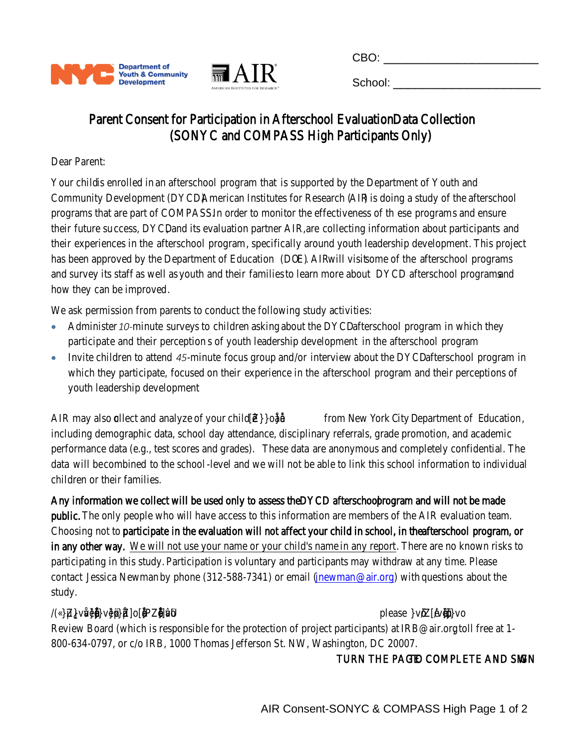

| <b>Part VII: Consents and Signatures</b> |  |
|------------------------------------------|--|
|                                          |  |

# **Pick-up/Dismissal Information**

*This question must be answered for parents/guardians enrolling their children*

**My child has permission to travel home alone at dismissal:** 

☐ Yes ☐ No

#### **Consent to Participate**

To the best of my knowledge the information above is true. I agree to its verification and understand that falsification may be grounds for termination of service. Information provided may be used by the City of New **York to improve City services and access to those services, and to access additional funding.**

#### **If participant is 18 and over:**

I acknowledge that I am 18 years of age or older and am authorized to give consent.

☐ Yes ☐ No

| Participant's Signature                                                                                                                                                                                                                                                                                                                                                                                                                                                                                                                                         | Participant: Print Name                                                                                                                                                                                                        | Date |
|-----------------------------------------------------------------------------------------------------------------------------------------------------------------------------------------------------------------------------------------------------------------------------------------------------------------------------------------------------------------------------------------------------------------------------------------------------------------------------------------------------------------------------------------------------------------|--------------------------------------------------------------------------------------------------------------------------------------------------------------------------------------------------------------------------------|------|
|                                                                                                                                                                                                                                                                                                                                                                                                                                                                                                                                                                 | If participant is under 18 years old:                                                                                                                                                                                          |      |
|                                                                                                                                                                                                                                                                                                                                                                                                                                                                                                                                                                 |                                                                                                                                                                                                                                |      |
| Parent/Guardian's Signature                                                                                                                                                                                                                                                                                                                                                                                                                                                                                                                                     | Parent/Guardian: Print Name                                                                                                                                                                                                    | Date |
|                                                                                                                                                                                                                                                                                                                                                                                                                                                                                                                                                                 | <b>Consent for Emergency Medical Treatment</b>                                                                                                                                                                                 |      |
|                                                                                                                                                                                                                                                                                                                                                                                                                                                                                                                                                                 | If participant is 18 and over                                                                                                                                                                                                  |      |
|                                                                                                                                                                                                                                                                                                                                                                                                                                                                                                                                                                 | consent for necessary emergency medical treatment to be obtained on my behalf. I further authorize the<br>emergency contact(s) listed to be contacted.<br>$\Box$ Yes, I give my permission $\Box$ No, I do not give permission |      |
| Participant's Signature                                                                                                                                                                                                                                                                                                                                                                                                                                                                                                                                         | Participant: Print Name                                                                                                                                                                                                        | Date |
| If participant is under 18 years old:<br>My child is enrolled as a participant in a DYCD-funded program. In the event of a medical emergency, I hereby<br>give consent for necessary emergency medical treatment for my child to be obtained, with the understanding that<br>I will be notified as soon as possible. I understand that every effort will be made to contact me, or, if I am<br>unavailable, the emergency contact(s) listed, before and after medical care is provided.<br>$\Box$ Yes, I give my permission $\Box$ No, I do not give permission |                                                                                                                                                                                                                                |      |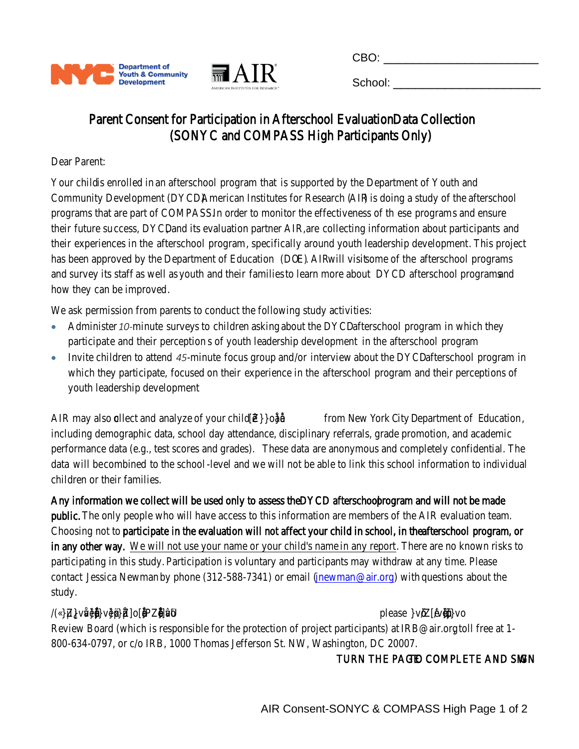

# **Consent for Photography/Videotaping and Use of Original Work**

As a participant enrolled in a DYCD-funded program, please be aware that from time to time DYCD and the City of New York, its contracted providers, authorized agents, third-party organizations with which it collaborates, or other government, representatives (collectively, "Authorized Parties") may be present during program activities and special events associated with program services, both at the usual program location and at off-site events. In some cases, they may photograph, videotape, interview or otherwise record participants and their families and friends in these programs. The resulting images, videos, and interviews may be used, with or without the participant's name, in printed and electronic media such as brochures, books, print and email newsletters, DVDs and videos, websites, social media and blogs (collectively, "Media").

I hereby authorize and permit the Authorized Parties, without compensation and without further approval, to photograph and/or record my and my child's image, name, likeness, and the sound of my and my child's voice during DYCD-funded program activities and special events, and I hereby consent to the resulting images, videos and interviews being used, without compensation and without further approval by the Authorized Parties solely for non-profit, non-commercial purposes in any and all Media.



If, in the course of participating in DYCD-funded program activities and special events, any original work such as art, music, choreography, poetry, or prose (collectively, "Original Work") is created by me or my child, I hereby consent to such Original Work being used by the Authorized Parties, without compensation and without further approval, solely for non-profit, non-commercial purposes in any and all Media.



|                                 | If participant is 18 and over:                                                      |      |
|---------------------------------|-------------------------------------------------------------------------------------|------|
|                                 | I acknowledge that I am 18 years of age or older and am authorized to give consent. |      |
|                                 | $\Box$ Yes $\Box$ No                                                                |      |
|                                 |                                                                                     |      |
|                                 |                                                                                     |      |
| <b>Full Name of Participant</b> | Participant's Signature                                                             | Date |
|                                 |                                                                                     |      |
|                                 | If participant is under 18 years old:                                               |      |
|                                 |                                                                                     |      |
|                                 |                                                                                     |      |
| <b>Full Name of Participant</b> | Parent/Guardian's Signature                                                         | Date |
|                                 |                                                                                     |      |
|                                 |                                                                                     |      |